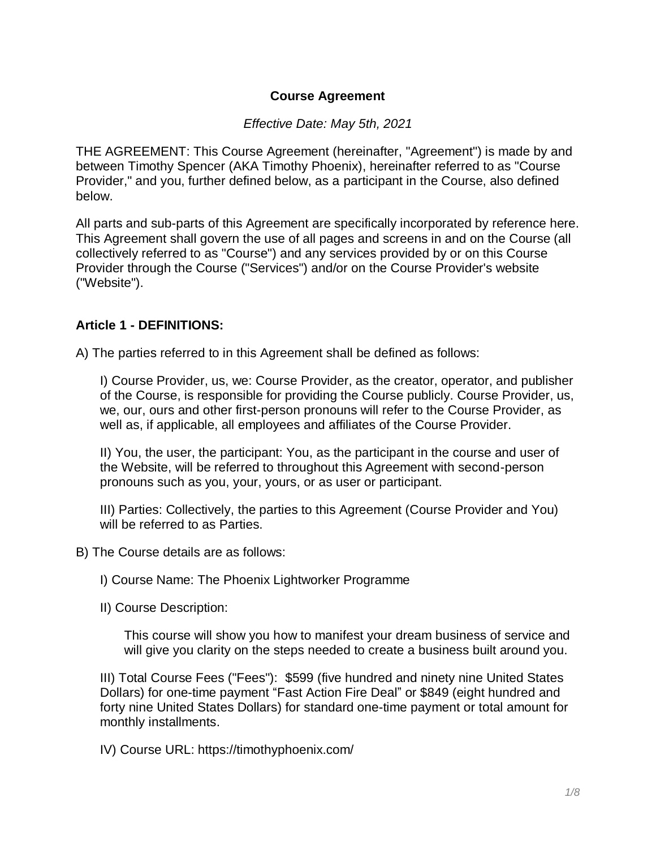### **Course Agreement**

#### *Effective Date: May 5th, 2021*

THE AGREEMENT: This Course Agreement (hereinafter, "Agreement") is made by and between Timothy Spencer (AKA Timothy Phoenix), hereinafter referred to as "Course Provider," and you, further defined below, as a participant in the Course, also defined below.

All parts and sub-parts of this Agreement are specifically incorporated by reference here. This Agreement shall govern the use of all pages and screens in and on the Course (all collectively referred to as "Course") and any services provided by or on this Course Provider through the Course ("Services") and/or on the Course Provider's website ("Website").

#### **Article 1 - DEFINITIONS:**

A) The parties referred to in this Agreement shall be defined as follows:

I) Course Provider, us, we: Course Provider, as the creator, operator, and publisher of the Course, is responsible for providing the Course publicly. Course Provider, us, we, our, ours and other first-person pronouns will refer to the Course Provider, as well as, if applicable, all employees and affiliates of the Course Provider.

II) You, the user, the participant: You, as the participant in the course and user of the Website, will be referred to throughout this Agreement with second-person pronouns such as you, your, yours, or as user or participant.

III) Parties: Collectively, the parties to this Agreement (Course Provider and You) will be referred to as Parties.

B) The Course details are as follows:

I) Course Name: The Phoenix Lightworker Programme

II) Course Description:

This course will show you how to manifest your dream business of service and will give you clarity on the steps needed to create a business built around you.

III) Total Course Fees ("Fees"): \$599 (five hundred and ninety nine United States Dollars) for one-time payment "Fast Action Fire Deal" or \$849 (eight hundred and forty nine United States Dollars) for standard one-time payment or total amount for monthly installments.

IV) Course URL: https://timothyphoenix.com/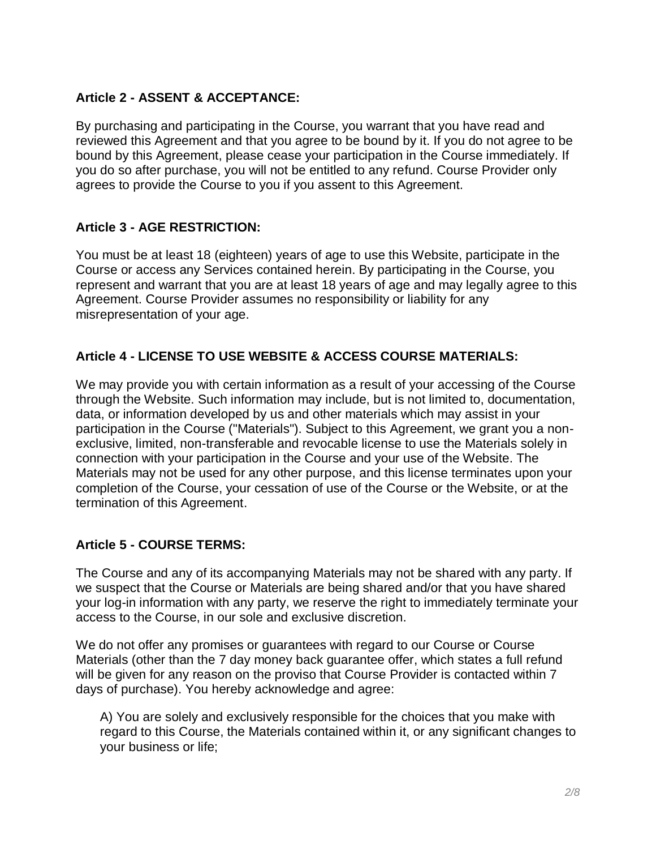### **Article 2 - ASSENT & ACCEPTANCE:**

By purchasing and participating in the Course, you warrant that you have read and reviewed this Agreement and that you agree to be bound by it. If you do not agree to be bound by this Agreement, please cease your participation in the Course immediately. If you do so after purchase, you will not be entitled to any refund. Course Provider only agrees to provide the Course to you if you assent to this Agreement.

### **Article 3 - AGE RESTRICTION:**

You must be at least 18 (eighteen) years of age to use this Website, participate in the Course or access any Services contained herein. By participating in the Course, you represent and warrant that you are at least 18 years of age and may legally agree to this Agreement. Course Provider assumes no responsibility or liability for any misrepresentation of your age.

## **Article 4 - LICENSE TO USE WEBSITE & ACCESS COURSE MATERIALS:**

We may provide you with certain information as a result of your accessing of the Course through the Website. Such information may include, but is not limited to, documentation, data, or information developed by us and other materials which may assist in your participation in the Course ("Materials"). Subject to this Agreement, we grant you a nonexclusive, limited, non-transferable and revocable license to use the Materials solely in connection with your participation in the Course and your use of the Website. The Materials may not be used for any other purpose, and this license terminates upon your completion of the Course, your cessation of use of the Course or the Website, or at the termination of this Agreement.

### **Article 5 - COURSE TERMS:**

The Course and any of its accompanying Materials may not be shared with any party. If we suspect that the Course or Materials are being shared and/or that you have shared your log-in information with any party, we reserve the right to immediately terminate your access to the Course, in our sole and exclusive discretion.

We do not offer any promises or guarantees with regard to our Course or Course Materials (other than the 7 day money back guarantee offer, which states a full refund will be given for any reason on the proviso that Course Provider is contacted within 7 days of purchase). You hereby acknowledge and agree:

A) You are solely and exclusively responsible for the choices that you make with regard to this Course, the Materials contained within it, or any significant changes to your business or life;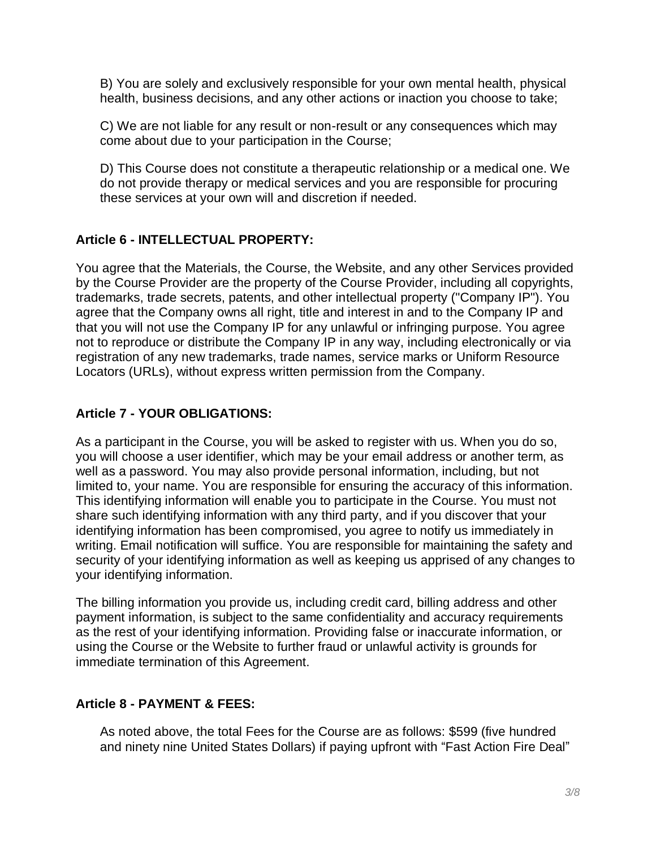B) You are solely and exclusively responsible for your own mental health, physical health, business decisions, and any other actions or inaction you choose to take;

C) We are not liable for any result or non-result or any consequences which may come about due to your participation in the Course;

D) This Course does not constitute a therapeutic relationship or a medical one. We do not provide therapy or medical services and you are responsible for procuring these services at your own will and discretion if needed.

## **Article 6 - INTELLECTUAL PROPERTY:**

You agree that the Materials, the Course, the Website, and any other Services provided by the Course Provider are the property of the Course Provider, including all copyrights, trademarks, trade secrets, patents, and other intellectual property ("Company IP"). You agree that the Company owns all right, title and interest in and to the Company IP and that you will not use the Company IP for any unlawful or infringing purpose. You agree not to reproduce or distribute the Company IP in any way, including electronically or via registration of any new trademarks, trade names, service marks or Uniform Resource Locators (URLs), without express written permission from the Company.

## **Article 7 - YOUR OBLIGATIONS:**

As a participant in the Course, you will be asked to register with us. When you do so, you will choose a user identifier, which may be your email address or another term, as well as a password. You may also provide personal information, including, but not limited to, your name. You are responsible for ensuring the accuracy of this information. This identifying information will enable you to participate in the Course. You must not share such identifying information with any third party, and if you discover that your identifying information has been compromised, you agree to notify us immediately in writing. Email notification will suffice. You are responsible for maintaining the safety and security of your identifying information as well as keeping us apprised of any changes to your identifying information.

The billing information you provide us, including credit card, billing address and other payment information, is subject to the same confidentiality and accuracy requirements as the rest of your identifying information. Providing false or inaccurate information, or using the Course or the Website to further fraud or unlawful activity is grounds for immediate termination of this Agreement.

### **Article 8 - PAYMENT & FEES:**

As noted above, the total Fees for the Course are as follows: \$599 (five hundred and ninety nine United States Dollars) if paying upfront with "Fast Action Fire Deal"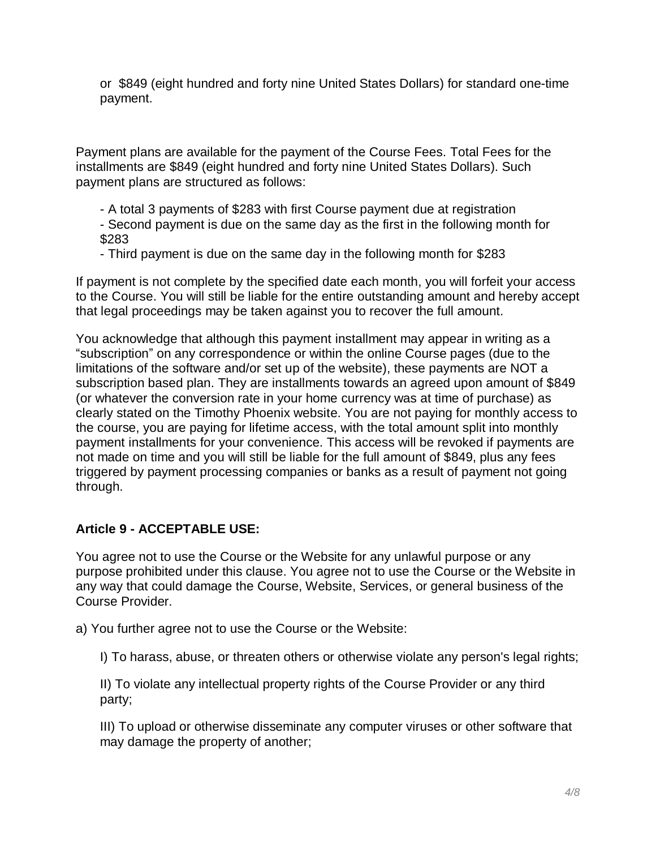or \$849 (eight hundred and forty nine United States Dollars) for standard one-time payment.

Payment plans are available for the payment of the Course Fees. Total Fees for the installments are \$849 (eight hundred and forty nine United States Dollars). Such payment plans are structured as follows:

- A total 3 payments of \$283 with first Course payment due at registration

- Second payment is due on the same day as the first in the following month for \$283

- Third payment is due on the same day in the following month for \$283

If payment is not complete by the specified date each month, you will forfeit your access to the Course. You will still be liable for the entire outstanding amount and hereby accept that legal proceedings may be taken against you to recover the full amount.

You acknowledge that although this payment installment may appear in writing as a "subscription" on any correspondence or within the online Course pages (due to the limitations of the software and/or set up of the website), these payments are NOT a subscription based plan. They are installments towards an agreed upon amount of \$849 (or whatever the conversion rate in your home currency was at time of purchase) as clearly stated on the Timothy Phoenix website. You are not paying for monthly access to the course, you are paying for lifetime access, with the total amount split into monthly payment installments for your convenience. This access will be revoked if payments are not made on time and you will still be liable for the full amount of \$849, plus any fees triggered by payment processing companies or banks as a result of payment not going through.

### **Article 9 - ACCEPTABLE USE:**

You agree not to use the Course or the Website for any unlawful purpose or any purpose prohibited under this clause. You agree not to use the Course or the Website in any way that could damage the Course, Website, Services, or general business of the Course Provider.

a) You further agree not to use the Course or the Website:

I) To harass, abuse, or threaten others or otherwise violate any person's legal rights;

II) To violate any intellectual property rights of the Course Provider or any third party;

III) To upload or otherwise disseminate any computer viruses or other software that may damage the property of another;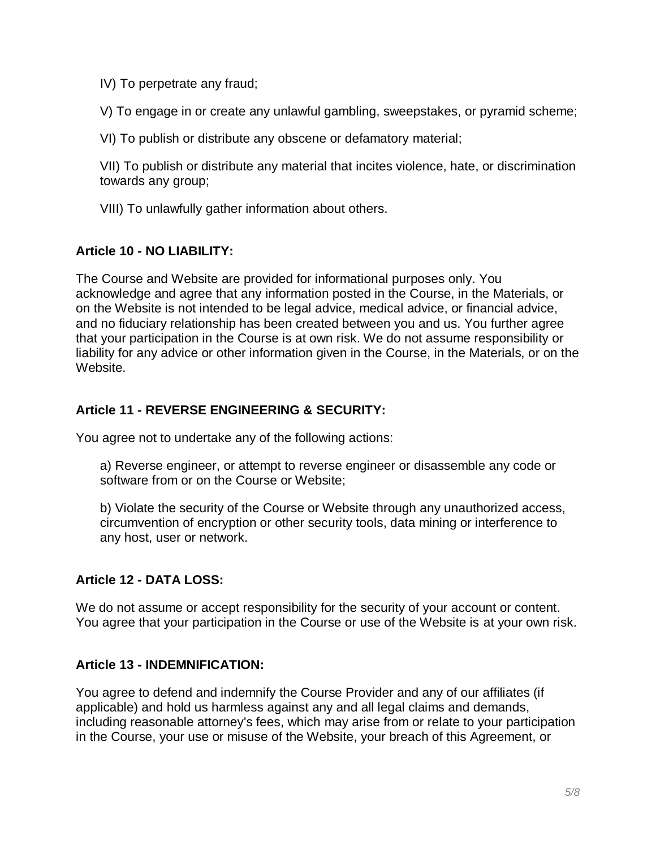IV) To perpetrate any fraud;

V) To engage in or create any unlawful gambling, sweepstakes, or pyramid scheme;

VI) To publish or distribute any obscene or defamatory material;

VII) To publish or distribute any material that incites violence, hate, or discrimination towards any group;

VIII) To unlawfully gather information about others.

### **Article 10 - NO LIABILITY:**

The Course and Website are provided for informational purposes only. You acknowledge and agree that any information posted in the Course, in the Materials, or on the Website is not intended to be legal advice, medical advice, or financial advice, and no fiduciary relationship has been created between you and us. You further agree that your participation in the Course is at own risk. We do not assume responsibility or liability for any advice or other information given in the Course, in the Materials, or on the Website.

## **Article 11 - REVERSE ENGINEERING & SECURITY:**

You agree not to undertake any of the following actions:

a) Reverse engineer, or attempt to reverse engineer or disassemble any code or software from or on the Course or Website;

b) Violate the security of the Course or Website through any unauthorized access, circumvention of encryption or other security tools, data mining or interference to any host, user or network.

### **Article 12 - DATA LOSS:**

We do not assume or accept responsibility for the security of your account or content. You agree that your participation in the Course or use of the Website is at your own risk.

### **Article 13 - INDEMNIFICATION:**

You agree to defend and indemnify the Course Provider and any of our affiliates (if applicable) and hold us harmless against any and all legal claims and demands, including reasonable attorney's fees, which may arise from or relate to your participation in the Course, your use or misuse of the Website, your breach of this Agreement, or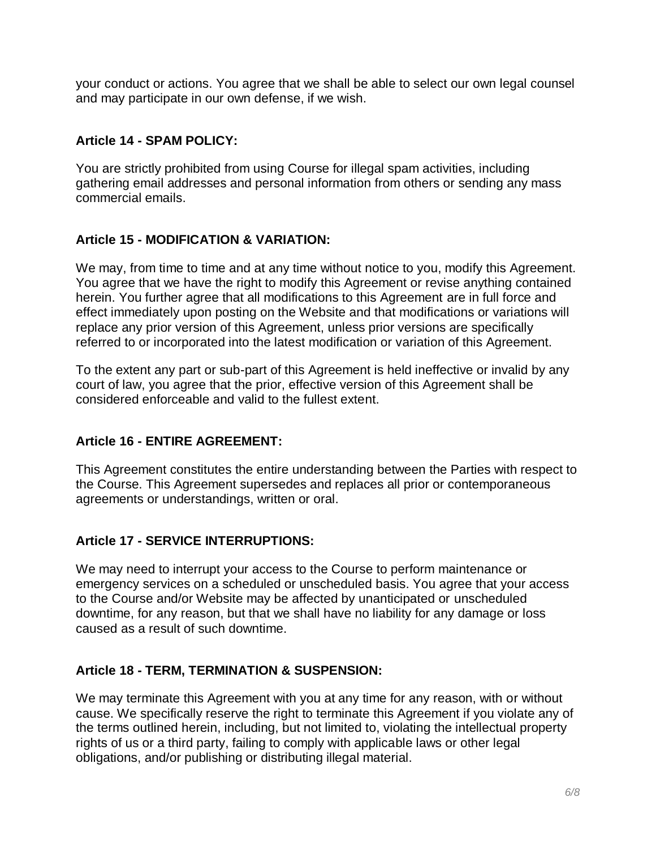your conduct or actions. You agree that we shall be able to select our own legal counsel and may participate in our own defense, if we wish.

## **Article 14 - SPAM POLICY:**

You are strictly prohibited from using Course for illegal spam activities, including gathering email addresses and personal information from others or sending any mass commercial emails.

## **Article 15 - MODIFICATION & VARIATION:**

We may, from time to time and at any time without notice to you, modify this Agreement. You agree that we have the right to modify this Agreement or revise anything contained herein. You further agree that all modifications to this Agreement are in full force and effect immediately upon posting on the Website and that modifications or variations will replace any prior version of this Agreement, unless prior versions are specifically referred to or incorporated into the latest modification or variation of this Agreement.

To the extent any part or sub-part of this Agreement is held ineffective or invalid by any court of law, you agree that the prior, effective version of this Agreement shall be considered enforceable and valid to the fullest extent.

# **Article 16 - ENTIRE AGREEMENT:**

This Agreement constitutes the entire understanding between the Parties with respect to the Course. This Agreement supersedes and replaces all prior or contemporaneous agreements or understandings, written or oral.

# **Article 17 - SERVICE INTERRUPTIONS:**

We may need to interrupt your access to the Course to perform maintenance or emergency services on a scheduled or unscheduled basis. You agree that your access to the Course and/or Website may be affected by unanticipated or unscheduled downtime, for any reason, but that we shall have no liability for any damage or loss caused as a result of such downtime.

### **Article 18 - TERM, TERMINATION & SUSPENSION:**

We may terminate this Agreement with you at any time for any reason, with or without cause. We specifically reserve the right to terminate this Agreement if you violate any of the terms outlined herein, including, but not limited to, violating the intellectual property rights of us or a third party, failing to comply with applicable laws or other legal obligations, and/or publishing or distributing illegal material.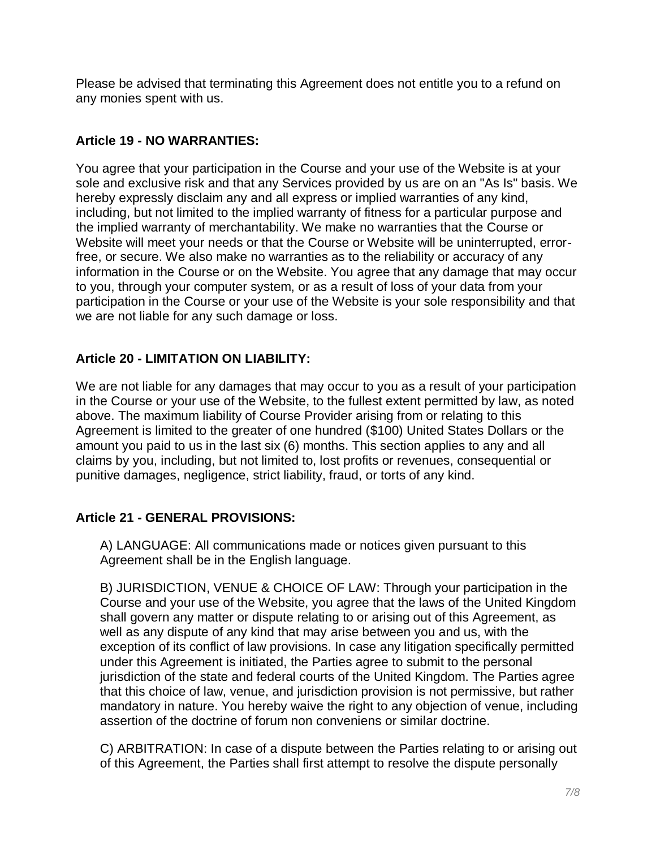Please be advised that terminating this Agreement does not entitle you to a refund on any monies spent with us.

## **Article 19 - NO WARRANTIES:**

You agree that your participation in the Course and your use of the Website is at your sole and exclusive risk and that any Services provided by us are on an "As Is" basis. We hereby expressly disclaim any and all express or implied warranties of any kind, including, but not limited to the implied warranty of fitness for a particular purpose and the implied warranty of merchantability. We make no warranties that the Course or Website will meet your needs or that the Course or Website will be uninterrupted, errorfree, or secure. We also make no warranties as to the reliability or accuracy of any information in the Course or on the Website. You agree that any damage that may occur to you, through your computer system, or as a result of loss of your data from your participation in the Course or your use of the Website is your sole responsibility and that we are not liable for any such damage or loss.

## **Article 20 - LIMITATION ON LIABILITY:**

We are not liable for any damages that may occur to you as a result of your participation in the Course or your use of the Website, to the fullest extent permitted by law, as noted above. The maximum liability of Course Provider arising from or relating to this Agreement is limited to the greater of one hundred (\$100) United States Dollars or the amount you paid to us in the last six (6) months. This section applies to any and all claims by you, including, but not limited to, lost profits or revenues, consequential or punitive damages, negligence, strict liability, fraud, or torts of any kind.

# **Article 21 - GENERAL PROVISIONS:**

A) LANGUAGE: All communications made or notices given pursuant to this Agreement shall be in the English language.

B) JURISDICTION, VENUE & CHOICE OF LAW: Through your participation in the Course and your use of the Website, you agree that the laws of the United Kingdom shall govern any matter or dispute relating to or arising out of this Agreement, as well as any dispute of any kind that may arise between you and us, with the exception of its conflict of law provisions. In case any litigation specifically permitted under this Agreement is initiated, the Parties agree to submit to the personal jurisdiction of the state and federal courts of the United Kingdom. The Parties agree that this choice of law, venue, and jurisdiction provision is not permissive, but rather mandatory in nature. You hereby waive the right to any objection of venue, including assertion of the doctrine of forum non conveniens or similar doctrine.

C) ARBITRATION: In case of a dispute between the Parties relating to or arising out of this Agreement, the Parties shall first attempt to resolve the dispute personally